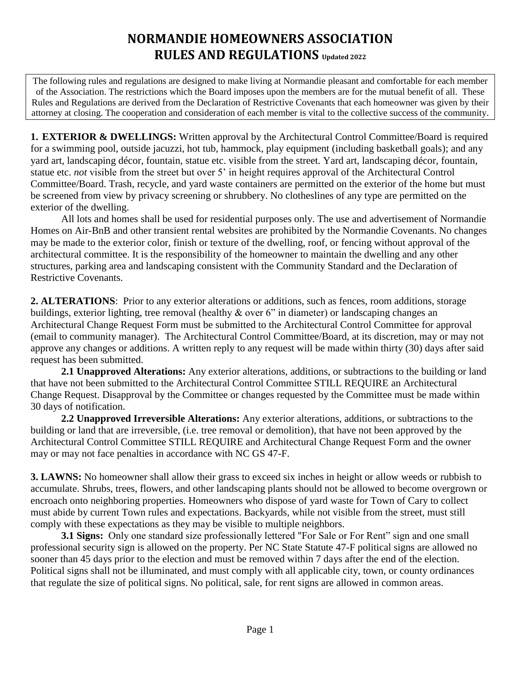## **NORMANDIE HOMEOWNERS ASSOCIATION RULES AND REGULATIONS Updated 2022**

The following rules and regulations are designed to make living at Normandie pleasant and comfortable for each member of the Association. The restrictions which the Board imposes upon the members are for the mutual benefit of all. These Rules and Regulations are derived from the Declaration of Restrictive Covenants that each homeowner was given by their attorney at closing. The cooperation and consideration of each member is vital to the collective success of the community.

**1. EXTERIOR & DWELLINGS:** Written approval by the Architectural Control Committee/Board is required for a swimming pool, outside jacuzzi, hot tub, hammock, play equipment (including basketball goals); and any yard art, landscaping décor, fountain, statue etc. visible from the street. Yard art, landscaping décor, fountain, statue etc. *not* visible from the street but over 5' in height requires approval of the Architectural Control Committee/Board. Trash, recycle, and yard waste containers are permitted on the exterior of the home but must be screened from view by privacy screening or shrubbery. No clotheslines of any type are permitted on the exterior of the dwelling.

All lots and homes shall be used for residential purposes only. The use and advertisement of Normandie Homes on Air-BnB and other transient rental websites are prohibited by the Normandie Covenants. No changes may be made to the exterior color, finish or texture of the dwelling, roof, or fencing without approval of the architectural committee. It is the responsibility of the homeowner to maintain the dwelling and any other structures, parking area and landscaping consistent with the Community Standard and the Declaration of Restrictive Covenants.

**2. ALTERATIONS**: Prior to any exterior alterations or additions, such as fences, room additions, storage buildings, exterior lighting, tree removal (healthy & over 6" in diameter) or landscaping changes an Architectural Change Request Form must be submitted to the Architectural Control Committee for approval (email to community manager). The Architectural Control Committee/Board, at its discretion, may or may not approve any changes or additions. A written reply to any request will be made within thirty (30) days after said request has been submitted.

**2.1 Unapproved Alterations:** Any exterior alterations, additions, or subtractions to the building or land that have not been submitted to the Architectural Control Committee STILL REQUIRE an Architectural Change Request. Disapproval by the Committee or changes requested by the Committee must be made within 30 days of notification.

**2.2 Unapproved Irreversible Alterations:** Any exterior alterations, additions, or subtractions to the building or land that are irreversible, (i.e. tree removal or demolition), that have not been approved by the Architectural Control Committee STILL REQUIRE and Architectural Change Request Form and the owner may or may not face penalties in accordance with NC GS 47-F.

**3. LAWNS:** No homeowner shall allow their grass to exceed six inches in height or allow weeds or rubbish to accumulate. Shrubs, trees, flowers, and other landscaping plants should not be allowed to become overgrown or encroach onto neighboring properties. Homeowners who dispose of yard waste for Town of Cary to collect must abide by current Town rules and expectations. Backyards, while not visible from the street, must still comply with these expectations as they may be visible to multiple neighbors.

**3.1 Signs:** Only one standard size professionally lettered "For Sale or For Rent" sign and one small professional security sign is allowed on the property. Per NC State Statute 47-F political signs are allowed no sooner than 45 days prior to the election and must be removed within 7 days after the end of the election. Political signs shall not be illuminated, and must comply with all applicable city, town, or county ordinances that regulate the size of political signs. No political, sale, for rent signs are allowed in common areas.